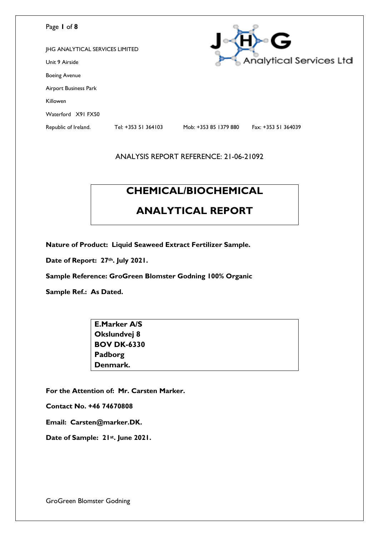| Page 1 of 8                            |                     |                       | G                              |
|----------------------------------------|---------------------|-----------------------|--------------------------------|
| <b>JHG ANALYTICAL SERVICES LIMITED</b> |                     |                       |                                |
| Unit 9 Airside                         |                     |                       | <b>Analytical Services Ltd</b> |
| <b>Boeing Avenue</b>                   |                     |                       |                                |
| Airport Business Park                  |                     |                       |                                |
| Killowen                               |                     |                       |                                |
| Waterford X91 FX50                     |                     |                       |                                |
| Republic of Ireland.                   | Tel: +353 51 364103 | Mob: +353 85 1379 880 | Fax: +353 51 364039            |
|                                        |                     |                       |                                |

# **CHEMICAL/BIOCHEMICAL**

# **ANALYTICAL REPORT**

**Nature of Product: Liquid Seaweed Extract Fertilizer Sample.** 

**Date of Report: 27th. July 2021.** 

**Sample Reference: GroGreen Blomster Godning 100% Organic** 

**Sample Ref.: As Dated.** 

| <b>E.Marker A/S</b> |  |
|---------------------|--|
| Okslundvej 8        |  |
| <b>BOV DK-6330</b>  |  |
| Padborg             |  |
| Denmark.            |  |

**For the Attention of: Mr. Carsten Marker.**

**Contact No. +46 74670808**

**Email: Carsten@marker.DK.**

**Date of Sample: 21st. June 2021.**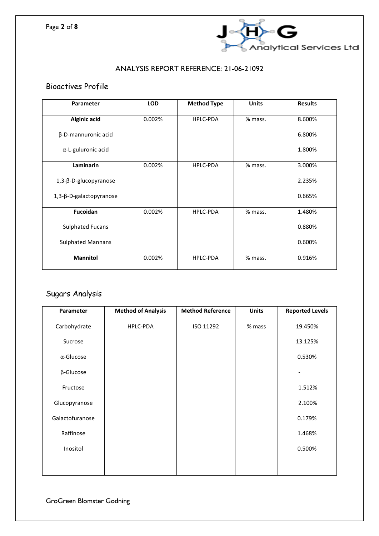

## Bioactives Profile

| Parameter                | <b>LOD</b> | <b>Method Type</b> | <b>Units</b> | <b>Results</b> |
|--------------------------|------------|--------------------|--------------|----------------|
| <b>Alginic acid</b>      | 0.002%     | HPLC-PDA           | % mass.      | 8.600%         |
| β-D-mannuronic acid      |            |                    |              | 6.800%         |
| α-L-guluronic acid       |            |                    |              | 1.800%         |
| Laminarin                | 0.002%     | <b>HPLC-PDA</b>    | % mass.      | 3.000%         |
| 1,3-β-D-glucopyranose    |            |                    |              | 2.235%         |
| 1,3-β-D-galactopyranose  |            |                    |              | 0.665%         |
| Fucoidan                 | 0.002%     | <b>HPLC-PDA</b>    | % mass.      | 1.480%         |
| <b>Sulphated Fucans</b>  |            |                    |              | 0.880%         |
| <b>Sulphated Mannans</b> |            |                    |              | 0.600%         |
| <b>Mannitol</b>          | 0.002%     | <b>HPLC-PDA</b>    | % mass.      | 0.916%         |

# Sugars Analysis

| Parameter         | <b>Method of Analysis</b> | <b>Method Reference</b> | <b>Units</b> | <b>Reported Levels</b> |
|-------------------|---------------------------|-------------------------|--------------|------------------------|
| Carbohydrate      | HPLC-PDA                  | ISO 11292               | $%$ mass     | 19.450%                |
| Sucrose           |                           |                         |              | 13.125%                |
| $\alpha$ -Glucose |                           |                         |              | 0.530%                 |
| β-Glucose         |                           |                         |              |                        |
| Fructose          |                           |                         |              | 1.512%                 |
| Glucopyranose     |                           |                         |              | 2.100%                 |
| Galactofuranose   |                           |                         |              | 0.179%                 |
| Raffinose         |                           |                         |              | 1.468%                 |
| Inositol          |                           |                         |              | 0.500%                 |
|                   |                           |                         |              |                        |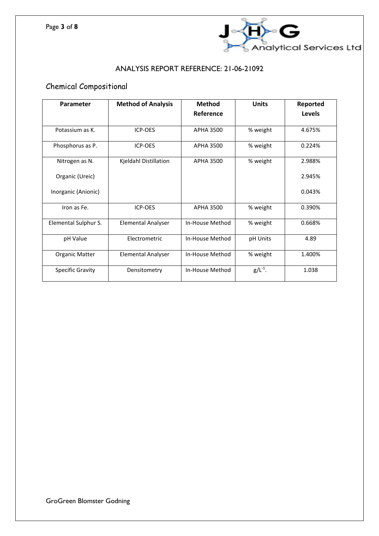

# Chemical Compositional

| <b>Parameter</b>      | <b>Method of Analysis</b> | <b>Method</b>    | <b>Units</b> | Reported |
|-----------------------|---------------------------|------------------|--------------|----------|
|                       |                           | Reference        |              | Levels   |
| Potassium as K.       | ICP-OES                   | <b>APHA 3500</b> | % weight     | 4.675%   |
| Phosphorus as P.      | ICP-OES                   | <b>APHA 3500</b> | % weight     | 0.224%   |
| Nitrogen as N.        | Kjeldahl Distillation     | <b>APHA 3500</b> | % weight     | 2.988%   |
| Organic (Ureic)       |                           |                  |              | 2.945%   |
| Inorganic (Anionic)   |                           |                  |              | 0.043%   |
| Iron as Fe.           | ICP-OES                   | APHA 3500        | % weight     | 0.390%   |
| Elemental Sulphur S.  | <b>Elemental Analyser</b> | In-House Method  | % weight     | 0.668%   |
| pH Value              | Electrometric             | In-House Method  | pH Units     | 4.89     |
| <b>Organic Matter</b> | <b>Elemental Analyser</b> | In-House Method  | % weight     | 1.400%   |
| Specific Gravity      | Densitometry              | In-House Method  | $g/L^{-1}$ . | 1.038    |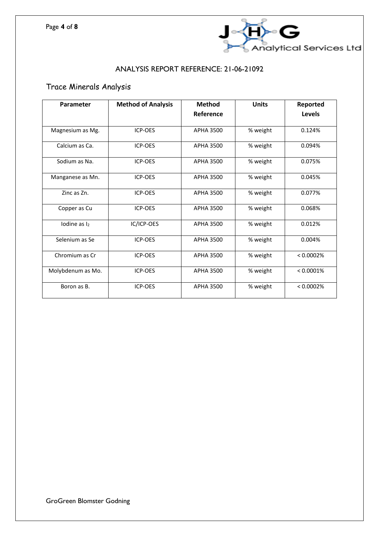

# Trace Minerals Analysis

| Parameter               | <b>Method of Analysis</b> | <b>Method</b>    | <b>Units</b> | Reported  |
|-------------------------|---------------------------|------------------|--------------|-----------|
|                         |                           | Reference        |              | Levels    |
| Magnesium as Mg.        | <b>ICP-OES</b>            | <b>APHA 3500</b> | % weight     | 0.124%    |
| Calcium as Ca.          | ICP-OES                   | <b>APHA 3500</b> | % weight     | 0.094%    |
| Sodium as Na.           | ICP-OES                   | APHA 3500        | % weight     | 0.075%    |
| Manganese as Mn.        | ICP-OES                   | <b>APHA 3500</b> | % weight     | 0.045%    |
| Zinc as Zn.             | ICP-OES                   | <b>APHA 3500</b> | % weight     | 0.077%    |
| Copper as Cu            | ICP-OES                   | <b>APHA 3500</b> | % weight     | 0.068%    |
| lodine as <sub>l2</sub> | IC/ICP-OES                | <b>APHA 3500</b> | % weight     | 0.012%    |
| Selenium as Se          | ICP-OES                   | <b>APHA 3500</b> | % weight     | 0.004%    |
| Chromium as Cr          | <b>ICP-OES</b>            | <b>APHA 3500</b> | % weight     | < 0.0002% |
| Molybdenum as Mo.       | <b>ICP-OES</b>            | <b>APHA 3500</b> | % weight     | < 0.0001% |
| Boron as B.             | ICP-OES                   | <b>APHA 3500</b> | % weight     | < 0.0002% |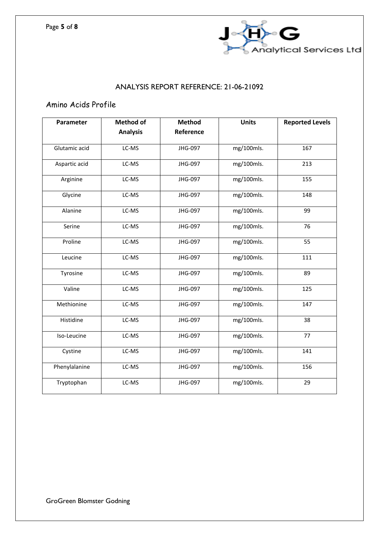

# Amino Acids Profile

| Parameter     | <b>Method of</b> | <b>Method</b> | <b>Units</b> | <b>Reported Levels</b> |
|---------------|------------------|---------------|--------------|------------------------|
|               | <b>Analysis</b>  | Reference     |              |                        |
| Glutamic acid | LC-MS            | JHG-097       | mg/100mls.   | 167                    |
| Aspartic acid | LC-MS            | JHG-097       | mg/100mls.   | 213                    |
| Arginine      | LC-MS            | JHG-097       | mg/100mls.   | 155                    |
| Glycine       | LC-MS            | JHG-097       | mg/100mls.   | 148                    |
| Alanine       | LC-MS            | JHG-097       | mg/100mls.   | 99                     |
| Serine        | LC-MS            | JHG-097       | mg/100mls.   | 76                     |
| Proline       | LC-MS            | JHG-097       | mg/100mls.   | 55                     |
| Leucine       | LC-MS            | JHG-097       | mg/100mls.   | 111                    |
| Tyrosine      | LC-MS            | JHG-097       | mg/100mls.   | 89                     |
| Valine        | LC-MS            | JHG-097       | mg/100mls.   | 125                    |
| Methionine    | LC-MS            | JHG-097       | mg/100mls.   | 147                    |
| Histidine     | LC-MS            | JHG-097       | mg/100mls.   | 38                     |
| Iso-Leucine   | LC-MS            | JHG-097       | mg/100mls.   | 77                     |
| Cystine       | LC-MS            | JHG-097       | mg/100mls.   | 141                    |
| Phenylalanine | LC-MS            | JHG-097       | mg/100mls.   | 156                    |
| Tryptophan    | LC-MS            | JHG-097       | mg/100mls.   | 29                     |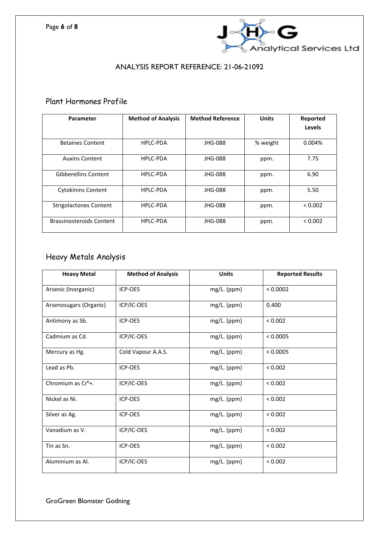

### Plant Hormones Profile

| Parameter                       | <b>Method of Analysis</b> | <b>Method Reference</b> | <b>Units</b> | Reported |
|---------------------------------|---------------------------|-------------------------|--------------|----------|
|                                 |                           |                         |              | Levels   |
| <b>Betaines Content</b>         | HPLC-PDA                  | JHG-088                 | % weight     | 0.004%   |
| <b>Auxins Content</b>           | HPLC-PDA                  | JHG-088                 | ppm.         | 7.75     |
| <b>Gibberellins Content</b>     | <b>HPLC-PDA</b>           | JHG-088                 | ppm.         | 6.90     |
| <b>Cytokinins Content</b>       | HPLC-PDA                  | JHG-088                 | ppm.         | 5.50     |
| <b>Strigolactones Content</b>   | HPLC-PDA                  | JHG-088                 | ppm.         | < 0.002  |
| <b>Brassinosteroids Content</b> | HPLC-PDA                  | JHG-088                 | ppm.         | < 0.002  |

# Heavy Metals Analysis

| <b>Heavy Metal</b>     | <b>Method of Analysis</b> | <b>Units</b>  | <b>Reported Results</b> |
|------------------------|---------------------------|---------------|-------------------------|
| Arsenic (Inorganic)    | ICP-OES                   | mg/L. (ppm)   | < 0.0002                |
| Arsenosugars (Organic) | ICP/IC-OES                | mg/L. (ppm)   | 0.400                   |
| Antimony as Sb.        | ICP-OES                   | mg/L. (ppm)   | < 0.002                 |
| Cadmium as Cd.         | ICP/IC-OES                | mg/L. (ppm)   | < 0.0005                |
| Mercury as Hg.         | Cold Vapour A.A.S.        | mg/L. (ppm)   | < 0.0005                |
| Lead as Pb.            | ICP-OES                   | mg/L. (ppm)   | < 0.002                 |
| Chromium as $Cr6$ +.   | ICP/IC-OES                | mg/L. (ppm)   | < 0.002                 |
| Nickel as Ni.          | <b>ICP-OES</b>            | $mg/L.$ (ppm) | < 0.002                 |
| Silver as Ag.          | <b>ICP-OES</b>            | $mg/L.$ (ppm) | < 0.002                 |
| Vanadium as V.         | ICP/IC-OES                | mg/L. (ppm)   | < 0.002                 |
| Tin as Sn.             | ICP-OES                   | $mg/L.$ (ppm) | < 0.002                 |
| Aluminium as Al.       | ICP/IC-OES                | mg/L. (ppm)   | < 0.002                 |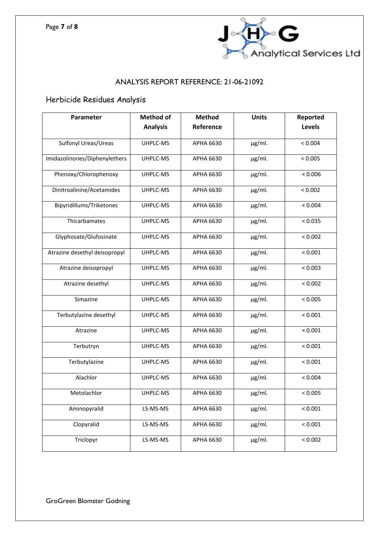

# Herbicide Residues Analysis

| Parameter                     | <b>Method of</b> | <b>Method</b>    | <b>Units</b> | Reported |
|-------------------------------|------------------|------------------|--------------|----------|
|                               | <b>Analysis</b>  | Reference        |              | Levels   |
| Sulfonyl Ureas/Ureas          | UHPLC-MS         | APHA 6630        | $\mu$ g/ml.  | < 0.004  |
| Imidazolinones/Diphenylethers | UHPLC-MS         | APHA 6630        | $\mu$ g/ml.  | < 0.005  |
| Phenoxy/Chlorophenoxy         | UHPLC-MS         | APHA 6630        | $\mu$ g/ml.  | < 0.006  |
| Dinitroalinine/Acetamides     | UHPLC-MS         | APHA 6630        | $\mu$ g/ml.  | < 0.002  |
| Bipyridillums/Triketones      | UHPLC-MS         | APHA 6630        | $\mu$ g/ml.  | < 0.004  |
| Thicarbamates                 | UHPLC-MS         | APHA 6630        | $\mu$ g/ml.  | < 0.035  |
| Glyphosate/Glufosinate        | UHPLC-MS         | APHA 6630        | $\mu$ g/ml.  | < 0.002  |
| Atrazine desethyl deisopropyl | UHPLC-MS         | APHA 6630        | $\mu$ g/ml.  | < 0.001  |
| Atrazine deisopropyl          | UHPLC-MS         | APHA 6630        | µg/ml.       | < 0.003  |
| Atrazine desethyl             | UHPLC-MS         | APHA 6630        | µg/ml.       | < 0.002  |
| Simazine                      | UHPLC-MS         | APHA 6630        | µg/ml.       | < 0.005  |
| Terbutylazine desethyl        | UHPLC-MS         | APHA 6630        | µg/ml.       | < 0.001  |
| Atrazine                      | UHPLC-MS         | APHA 6630        | µg/ml.       | < 0.001  |
| Terbutryn                     | UHPLC-MS         | APHA 6630        | $\mu$ g/ml.  | < 0.001  |
| Terbutylazine                 | UHPLC-MS         | APHA 6630        | $\mu$ g/ml.  | < 0.001  |
| Alachlor                      | UHPLC-MS         | APHA 6630        | $\mu$ g/ml.  | < 0.004  |
| Metolachlor                   | UHPLC-MS         | APHA 6630        | $\mu$ g/ml.  | < 0.005  |
| Aminopyralid                  | LS-MS-MS         | <b>APHA 6630</b> | $\mu$ g/ml.  | < 0.001  |
| Clopyralid                    | LS-MS-MS         | <b>APHA 6630</b> | $\mu$ g/ml.  | < 0.001  |
| Triclopyr                     | LS-MS-MS         | <b>APHA 6630</b> | µg/ml.       | < 0.002  |